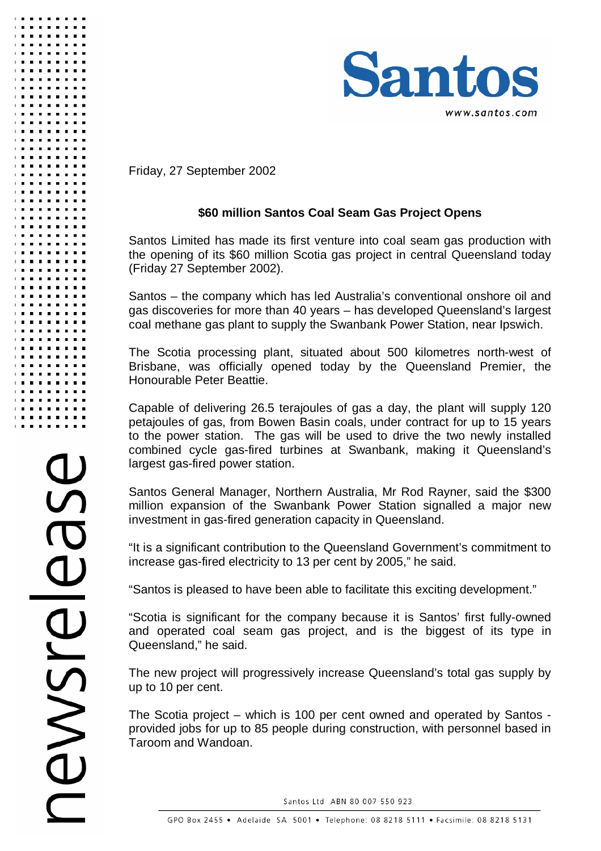

Friday, 27 September 2002

## **\$60 million Santos Coal Seam Gas Project Opens**

Santos Limited has made its first venture into coal seam gas production with the opening of its \$60 million Scotia gas project in central Queensland today (Friday 27 September 2002).

Santos – the company which has led Australia's conventional onshore oil and gas discoveries for more than 40 years – has developed Queensland's largest coal methane gas plant to supply the Swanbank Power Station, near Ipswich.

The Scotia processing plant, situated about 500 kilometres north-west of Brisbane, was officially opened today by the Queensland Premier, the Honourable Peter Beattie.

Capable of delivering 26.5 terajoules of gas a day, the plant will supply 120 petajoules of gas, from Bowen Basin coals, under contract for up to 15 years to the power station. The gas will be used to drive the two newly installed combined cycle gas-fired turbines at Swanbank, making it Queensland's largest gas-fired power station.

Santos General Manager, Northern Australia, Mr Rod Rayner, said the \$300 million expansion of the Swanbank Power Station signalled a major new investment in gas-fired generation capacity in Queensland.

"It is a significant contribution to the Queensland Government's commitment to increase gas-fired electricity to 13 per cent by 2005," he said.

"Santos is pleased to have been able to facilitate this exciting development."

"Scotia is significant for the company because it is Santos' first fully-owned and operated coal seam gas project, and is the biggest of its type in Queensland," he said.

The new project will progressively increase Queensland's total gas supply by up to 10 per cent.

The Scotia project – which is 100 per cent owned and operated by Santos provided jobs for up to 85 people during construction, with personnel based in Taroom and Wandoan.

Santos Ltd ABN 80 007 550 923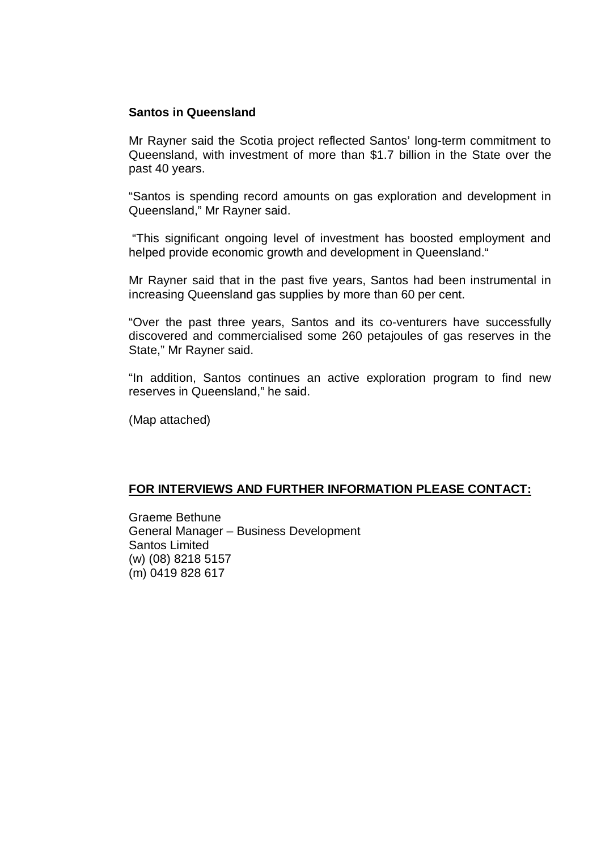#### **Santos in Queensland**

Mr Rayner said the Scotia project reflected Santos' long-term commitment to Queensland, with investment of more than \$1.7 billion in the State over the past 40 years.

"Santos is spending record amounts on gas exploration and development in Queensland," Mr Rayner said.

 "This significant ongoing level of investment has boosted employment and helped provide economic growth and development in Queensland."

Mr Rayner said that in the past five years, Santos had been instrumental in increasing Queensland gas supplies by more than 60 per cent.

"Over the past three years, Santos and its co-venturers have successfully discovered and commercialised some 260 petajoules of gas reserves in the State," Mr Rayner said.

"In addition, Santos continues an active exploration program to find new reserves in Queensland," he said.

(Map attached)

### **FOR INTERVIEWS AND FURTHER INFORMATION PLEASE CONTACT:**

Graeme Bethune General Manager – Business Development Santos Limited (w) (08) 8218 5157 (m) 0419 828 617